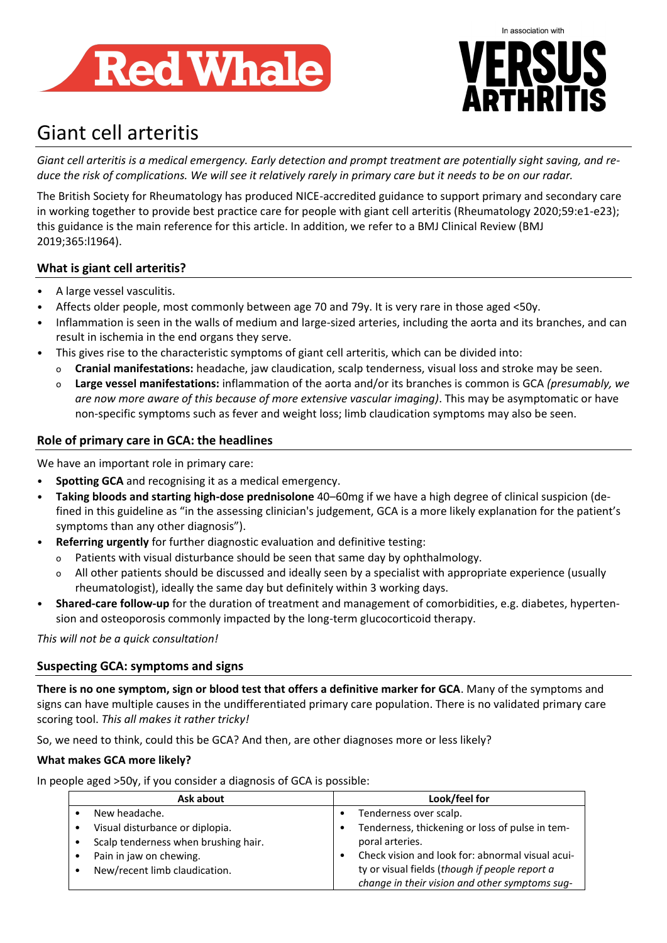



# Giant cell arteritis

*Giant cell arteritis is a medical emergency. Early detection and prompt treatment are potentially sight saving, and reduce the risk of complications. We will see it relatively rarely in primary care but it needs to be on our radar.*

The British Society for Rheumatology has produced NICE-accredited guidance to support primary and secondary care in working together to provide best practice care for people with giant cell arteritis (Rheumatology 2020;59:e1-e23); this guidance is the main reference for this article. In addition, we refer to a BMJ Clinical Review (BMJ 2019;365:l1964).

# **What is giant cell arteritis?**

- A large vessel vasculitis.
- Affects older people, most commonly between age 70 and 79y. It is very rare in those aged <50y.
- Inflammation is seen in the walls of medium and large-sized arteries, including the aorta and its branches, and can result in ischemia in the end organs they serve.
- This gives rise to the characteristic symptoms of giant cell arteritis, which can be divided into:
	- o **Cranial manifestations:** headache, jaw claudication, scalp tenderness, visual loss and stroke may be seen.
	- o **Large vessel manifestations:** inflammation of the aorta and/or its branches is common is GCA *(presumably, we are now more aware of this because of more extensive vascular imaging)*. This may be asymptomatic or have non-specific symptoms such as fever and weight loss; limb claudication symptoms may also be seen.

# **Role of primary care in GCA: the headlines**

We have an important role in primary care:

- **Spotting GCA** and recognising it as a medical emergency.
- **Taking bloods and starting high-dose prednisolone** 40–60mg if we have a high degree of clinical suspicion (defined in this guideline as "in the assessing clinician's judgement, GCA is a more likely explanation for the patient's symptoms than any other diagnosis").
- **Referring urgently** for further diagnostic evaluation and definitive testing:
	- o Patients with visual disturbance should be seen that same day by ophthalmology.
	- o All other patients should be discussed and ideally seen by a specialist with appropriate experience (usually rheumatologist), ideally the same day but definitely within 3 working days.
- **Shared-care follow-up** for the duration of treatment and management of comorbidities, e.g. diabetes, hypertension and osteoporosis commonly impacted by the long-term glucocorticoid therapy.

*This will not be a quick consultation!* 

# **Suspecting GCA: symptoms and signs**

**There is no one symptom, sign or blood test that offers a definitive marker for GCA**. Many of the symptoms and signs can have multiple causes in the undifferentiated primary care population. There is no validated primary care scoring tool. *This all makes it rather tricky!*

So, we need to think, could this be GCA? And then, are other diagnoses more or less likely?

## **What makes GCA more likely?**

In people aged >50y, if you consider a diagnosis of GCA is possible:

| Ask about                            | Look/feel for                                    |
|--------------------------------------|--------------------------------------------------|
| New headache.                        | Tenderness over scalp.                           |
| Visual disturbance or diplopia.      | Tenderness, thickening or loss of pulse in tem-  |
| Scalp tenderness when brushing hair. | poral arteries.                                  |
| Pain in jaw on chewing.              | Check vision and look for: abnormal visual acui- |
| New/recent limb claudication.        | ty or visual fields (though if people report a   |
|                                      | change in their vision and other symptoms sug-   |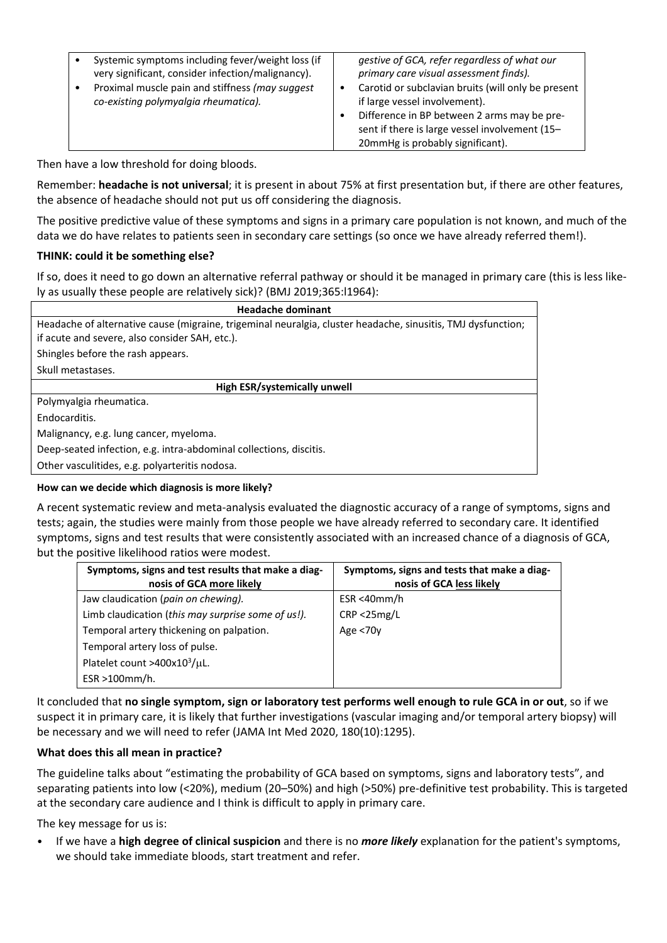| Systemic symptoms including fever/weight loss (if<br>very significant, consider infection/malignancy).<br>Proximal muscle pain and stiffness (may suggest<br>co-existing polymyalgia rheumatica). | gestive of GCA, refer regardless of what our<br>primary care visual assessment finds).<br>Carotid or subclavian bruits (will only be present<br>if large vessel involvement). |
|---------------------------------------------------------------------------------------------------------------------------------------------------------------------------------------------------|-------------------------------------------------------------------------------------------------------------------------------------------------------------------------------|
|                                                                                                                                                                                                   | Difference in BP between 2 arms may be pre-<br>sent if there is large vessel involvement (15-                                                                                 |
|                                                                                                                                                                                                   | 20mmHg is probably significant).                                                                                                                                              |

Then have a low threshold for doing bloods.

Remember: **headache is not universal**; it is present in about 75% at first presentation but, if there are other features, the absence of headache should not put us off considering the diagnosis.

The positive predictive value of these symptoms and signs in a primary care population is not known, and much of the data we do have relates to patients seen in secondary care settings (so once we have already referred them!).

## **THINK: could it be something else?**

If so, does it need to go down an alternative referral pathway or should it be managed in primary care (this is less likely as usually these people are relatively sick)? (BMJ 2019;365:l1964):

| <b>Headache dominant</b>                                                                                     |  |  |
|--------------------------------------------------------------------------------------------------------------|--|--|
| Headache of alternative cause (migraine, trigeminal neuralgia, cluster headache, sinusitis, TMJ dysfunction; |  |  |
| if acute and severe, also consider SAH, etc.).                                                               |  |  |
| Shingles before the rash appears.                                                                            |  |  |
| Skull metastases.                                                                                            |  |  |
| High ESR/systemically unwell                                                                                 |  |  |
| Polymyalgia rheumatica.                                                                                      |  |  |
| Endocarditis.                                                                                                |  |  |
| Malignancy, e.g. lung cancer, myeloma.                                                                       |  |  |
| Deep-seated infection, e.g. intra-abdominal collections, discitis.                                           |  |  |
|                                                                                                              |  |  |

Other vasculitides, e.g. polyarteritis nodosa.

## **How can we decide which diagnosis is more likely?**

A recent systematic review and meta-analysis evaluated the diagnostic accuracy of a range of symptoms, signs and tests; again, the studies were mainly from those people we have already referred to secondary care. It identified symptoms, signs and test results that were consistently associated with an increased chance of a diagnosis of GCA, but the positive likelihood ratios were modest.

| Symptoms, signs and test results that make a diag-<br>nosis of GCA more likely | Symptoms, signs and tests that make a diag-<br>nosis of GCA less likely |
|--------------------------------------------------------------------------------|-------------------------------------------------------------------------|
| Jaw claudication (pain on chewing).                                            | ESR <40mm/h                                                             |
| Limb claudication (this may surprise some of us!).                             | CRP < 25mg/L                                                            |
| Temporal artery thickening on palpation.                                       | Age <70y                                                                |
| Temporal artery loss of pulse.                                                 |                                                                         |
| Platelet count >400x10 $^3$ /µL.                                               |                                                                         |
| ESR >100mm/h.                                                                  |                                                                         |

It concluded that **no single symptom, sign or laboratory test performs well enough to rule GCA in or out**, so if we suspect it in primary care, it is likely that further investigations (vascular imaging and/or temporal artery biopsy) will be necessary and we will need to refer (JAMA Int Med 2020, 180(10):1295).

## **What does this all mean in practice?**

The guideline talks about "estimating the probability of GCA based on symptoms, signs and laboratory tests", and separating patients into low (<20%), medium (20–50%) and high (>50%) pre-definitive test probability. This is targeted at the secondary care audience and I think is difficult to apply in primary care.

The key message for us is:

• If we have a **high degree of clinical suspicion** and there is no *more likely* explanation for the patient's symptoms, we should take immediate bloods, start treatment and refer.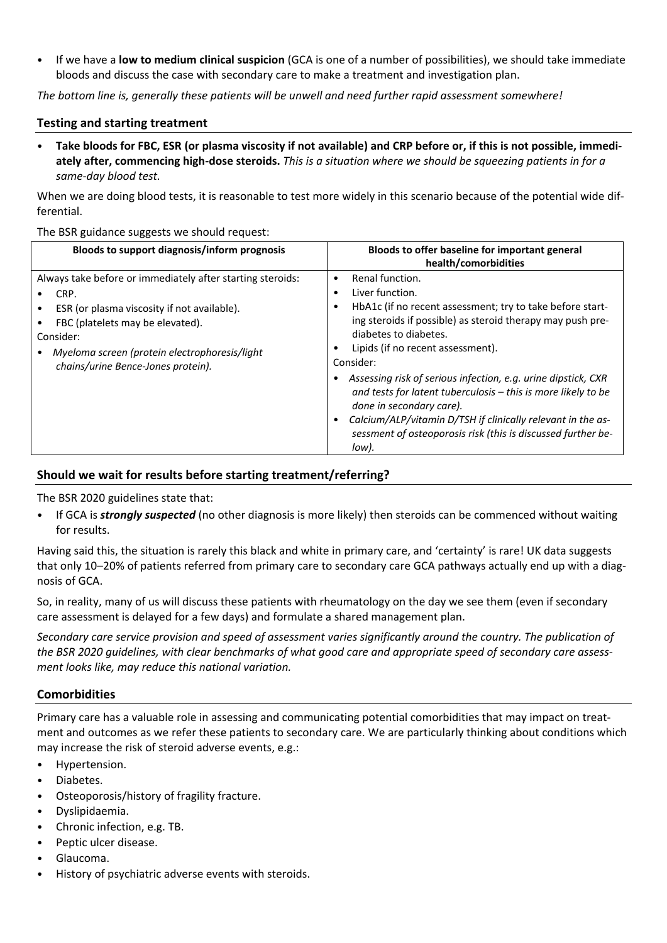• If we have a **low to medium clinical suspicion** (GCA is one of a number of possibilities), we should take immediate bloods and discuss the case with secondary care to make a treatment and investigation plan.

*The bottom line is, generally these patients will be unwell and need further rapid assessment somewhere!*

## **Testing and starting treatment**

• **Take bloods for FBC, ESR (or plasma viscosity if not available) and CRP before or, if this is not possible, immediately after, commencing high-dose steroids.** *This is a situation where we should be squeezing patients in for a same-day blood test.* 

When we are doing blood tests, it is reasonable to test more widely in this scenario because of the potential wide differential.

#### The BSR guidance suggests we should request:

| <b>Bloods to support diagnosis/inform prognosis</b>                                                                                                                                                                                                       | Bloods to offer baseline for important general<br>health/comorbidities                                                                                                                                                                                                                                                                                                                                                                                                                                                                                                                                  |
|-----------------------------------------------------------------------------------------------------------------------------------------------------------------------------------------------------------------------------------------------------------|---------------------------------------------------------------------------------------------------------------------------------------------------------------------------------------------------------------------------------------------------------------------------------------------------------------------------------------------------------------------------------------------------------------------------------------------------------------------------------------------------------------------------------------------------------------------------------------------------------|
| Always take before or immediately after starting steroids:<br>CRP.<br>ESR (or plasma viscosity if not available).<br>FBC (platelets may be elevated).<br>Consider:<br>Myeloma screen (protein electrophoresis/light<br>chains/urine Bence-Jones protein). | Renal function.<br>$\bullet$<br>Liver function.<br>$\bullet$<br>HbA1c (if no recent assessment; try to take before start-<br>٠<br>ing steroids if possible) as steroid therapy may push pre-<br>diabetes to diabetes.<br>Lipids (if no recent assessment).<br>$\bullet$<br>Consider:<br>Assessing risk of serious infection, e.g. urine dipstick, CXR<br>and tests for latent tuberculosis – this is more likely to be<br>done in secondary care).<br>Calcium/ALP/vitamin D/TSH if clinically relevant in the as-<br>$\bullet$<br>sessment of osteoporosis risk (this is discussed further be-<br>low). |

# **Should we wait for results before starting treatment/referring?**

The BSR 2020 guidelines state that:

• If GCA is *strongly suspected* (no other diagnosis is more likely) then steroids can be commenced without waiting for results.

Having said this, the situation is rarely this black and white in primary care, and 'certainty' is rare! UK data suggests that only 10–20% of patients referred from primary care to secondary care GCA pathways actually end up with a diagnosis of GCA.

So, in reality, many of us will discuss these patients with rheumatology on the day we see them (even if secondary care assessment is delayed for a few days) and formulate a shared management plan.

*Secondary care service provision and speed of assessment varies significantly around the country. The publication of the BSR 2020 guidelines, with clear benchmarks of what good care and appropriate speed of secondary care assessment looks like, may reduce this national variation.*

## **Comorbidities**

Primary care has a valuable role in assessing and communicating potential comorbidities that may impact on treatment and outcomes as we refer these patients to secondary care. We are particularly thinking about conditions which may increase the risk of steroid adverse events, e.g.:

- Hypertension.
- Diabetes.
- Osteoporosis/history of fragility fracture.
- Dyslipidaemia.
- Chronic infection, e.g. TB.
- Peptic ulcer disease.
- Glaucoma.
- History of psychiatric adverse events with steroids.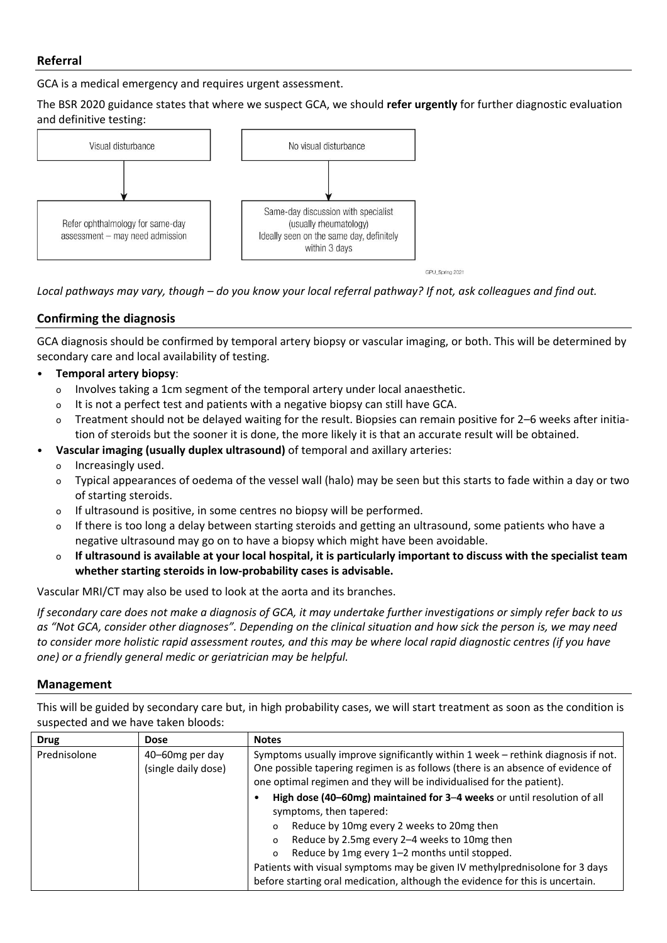# **Referral**

GCA is a medical emergency and requires urgent assessment.

The BSR 2020 guidance states that where we suspect GCA, we should **refer urgently** for further diagnostic evaluation and definitive testing:



GPU Spring 2021

*Local pathways may vary, though – do you know your local referral pathway? If not, ask colleagues and find out.*

# **Confirming the diagnosis**

GCA diagnosis should be confirmed by temporal artery biopsy or vascular imaging, or both. This will be determined by secondary care and local availability of testing.

- **Temporal artery biopsy**:
	- o Involves taking a 1cm segment of the temporal artery under local anaesthetic.
	- o It is not a perfect test and patients with a negative biopsy can still have GCA.
	- o Treatment should not be delayed waiting for the result. Biopsies can remain positive for 2–6 weeks after initiation of steroids but the sooner it is done, the more likely it is that an accurate result will be obtained.
- **Vascular imaging (usually duplex ultrasound)** of temporal and axillary arteries:
	- o Increasingly used.
	- o Typical appearances of oedema of the vessel wall (halo) may be seen but this starts to fade within a day or two of starting steroids.
	- o If ultrasound is positive, in some centres no biopsy will be performed.
	- o If there is too long a delay between starting steroids and getting an ultrasound, some patients who have a negative ultrasound may go on to have a biopsy which might have been avoidable.
	- o **If ultrasound is available at your local hospital, it is particularly important to discuss with the specialist team whether starting steroids in low-probability cases is advisable.**

Vascular MRI/CT may also be used to look at the aorta and its branches.

*If secondary care does not make a diagnosis of GCA, it may undertake further investigations or simply refer back to us as "Not GCA, consider other diagnoses". Depending on the clinical situation and how sick the person is, we may need to consider more holistic rapid assessment routes, and this may be where local rapid diagnostic centres (if you have one) or a friendly general medic or geriatrician may be helpful.*

## **Management**

This will be guided by secondary care but, in high probability cases, we will start treatment as soon as the condition is suspected and we have taken bloods:

| <b>Drug</b>  | <b>Dose</b>                            | <b>Notes</b>                                                                                                                                                                                                                                                                                                                                                                                                                                       |
|--------------|----------------------------------------|----------------------------------------------------------------------------------------------------------------------------------------------------------------------------------------------------------------------------------------------------------------------------------------------------------------------------------------------------------------------------------------------------------------------------------------------------|
| Prednisolone | 40–60mg per day<br>(single daily dose) | Symptoms usually improve significantly within 1 week - rethink diagnosis if not.<br>One possible tapering regimen is as follows (there is an absence of evidence of<br>one optimal regimen and they will be individualised for the patient).                                                                                                                                                                                                       |
|              |                                        | High dose (40-60mg) maintained for 3-4 weeks or until resolution of all<br>symptoms, then tapered:<br>Reduce by 10mg every 2 weeks to 20mg then<br>$\Omega$<br>Reduce by 2.5mg every 2-4 weeks to 10mg then<br>$\circ$<br>Reduce by 1mg every 1-2 months until stopped.<br>$\circ$<br>Patients with visual symptoms may be given IV methylprednisolone for 3 days<br>before starting oral medication, although the evidence for this is uncertain. |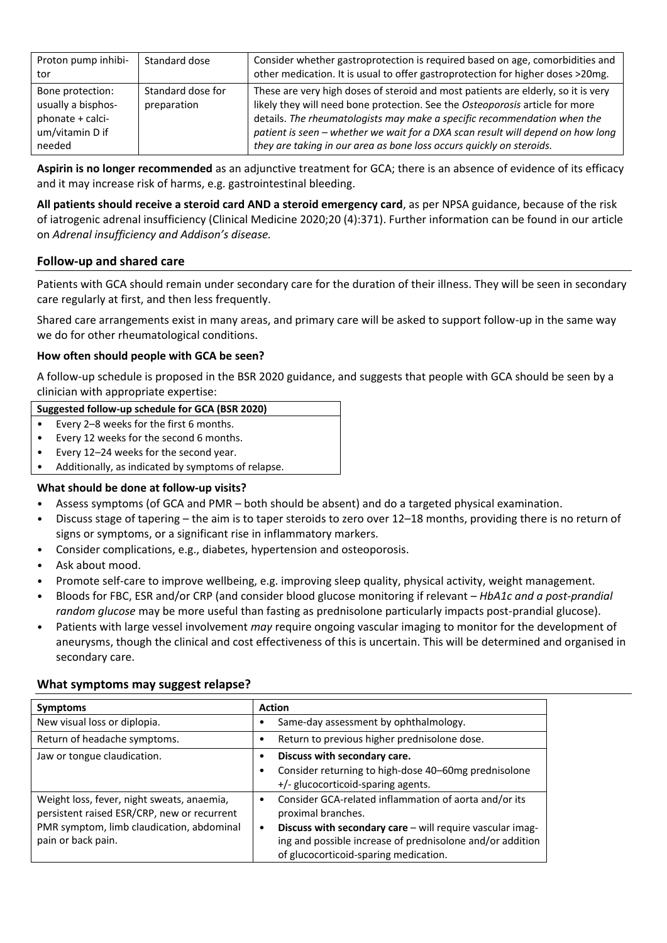| Proton pump inhibi-<br>tor                                                              | Standard dose                    | Consider whether gastroprotection is required based on age, comorbidities and<br>other medication. It is usual to offer gastroprotection for higher doses >20mg.                                                                                                                                                                                                                                         |
|-----------------------------------------------------------------------------------------|----------------------------------|----------------------------------------------------------------------------------------------------------------------------------------------------------------------------------------------------------------------------------------------------------------------------------------------------------------------------------------------------------------------------------------------------------|
| Bone protection:<br>usually a bisphos-<br>phonate + calci-<br>um/vitamin D if<br>needed | Standard dose for<br>preparation | These are very high doses of steroid and most patients are elderly, so it is very<br>likely they will need bone protection. See the Osteoporosis article for more<br>details. The rheumatologists may make a specific recommendation when the<br>patient is seen - whether we wait for a DXA scan result will depend on how long<br>they are taking in our area as bone loss occurs quickly on steroids. |

**Aspirin is no longer recommended** as an adjunctive treatment for GCA; there is an absence of evidence of its efficacy and it may increase risk of harms, e.g. gastrointestinal bleeding.

**All patients should receive a steroid card AND a steroid emergency card**, as per NPSA guidance, because of the risk of iatrogenic adrenal insufficiency (Clinical Medicine 2020;20 (4):371). Further information can be found in our article on *Adrenal insufficiency and Addison's disease.*

## **Follow-up and shared care**

Patients with GCA should remain under secondary care for the duration of their illness. They will be seen in secondary care regularly at first, and then less frequently.

Shared care arrangements exist in many areas, and primary care will be asked to support follow-up in the same way we do for other rheumatological conditions.

## **How often should people with GCA be seen?**

A follow-up schedule is proposed in the BSR 2020 guidance, and suggests that people with GCA should be seen by a clinician with appropriate expertise:

#### **Suggested follow-up schedule for GCA (BSR 2020)**

- Every 2–8 weeks for the first 6 months.
- Every 12 weeks for the second 6 months.
- Every 12–24 weeks for the second year.
- Additionally, as indicated by symptoms of relapse.

## **What should be done at follow-up visits?**

- Assess symptoms (of GCA and PMR both should be absent) and do a targeted physical examination.
- Discuss stage of tapering the aim is to taper steroids to zero over 12–18 months, providing there is no return of signs or symptoms, or a significant rise in inflammatory markers.
- Consider complications, e.g., diabetes, hypertension and osteoporosis.
- Ask about mood.
- Promote self-care to improve wellbeing, e.g. improving sleep quality, physical activity, weight management.
- Bloods for FBC, ESR and/or CRP (and consider blood glucose monitoring if relevant *– HbA1c and a post-prandial random glucose* may be more useful than fasting as prednisolone particularly impacts post-prandial glucose).
- Patients with large vessel involvement *may* require ongoing vascular imaging to monitor for the development of aneurysms, though the clinical and cost effectiveness of this is uncertain. This will be determined and organised in secondary care.

## **What symptoms may suggest relapse?**

| <b>Symptoms</b>                                                                                                                                              | <b>Action</b>                                                                                                                                                                                                                                  |
|--------------------------------------------------------------------------------------------------------------------------------------------------------------|------------------------------------------------------------------------------------------------------------------------------------------------------------------------------------------------------------------------------------------------|
| New visual loss or diplopia.                                                                                                                                 | Same-day assessment by ophthalmology.                                                                                                                                                                                                          |
| Return of headache symptoms.                                                                                                                                 | Return to previous higher prednisolone dose.                                                                                                                                                                                                   |
| Jaw or tongue claudication.                                                                                                                                  | Discuss with secondary care.<br>Consider returning to high-dose 40-60mg prednisolone<br>+/- glucocorticoid-sparing agents.                                                                                                                     |
| Weight loss, fever, night sweats, anaemia,<br>persistent raised ESR/CRP, new or recurrent<br>PMR symptom, limb claudication, abdominal<br>pain or back pain. | Consider GCA-related inflammation of aorta and/or its<br>proximal branches.<br>Discuss with secondary care - will require vascular imag-<br>ing and possible increase of prednisolone and/or addition<br>of glucocorticoid-sparing medication. |